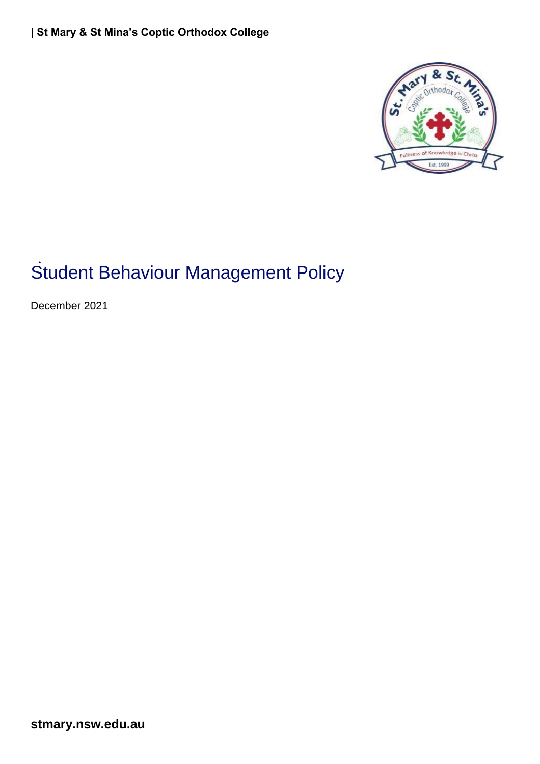

# Student Behaviour Management Policy

December 2021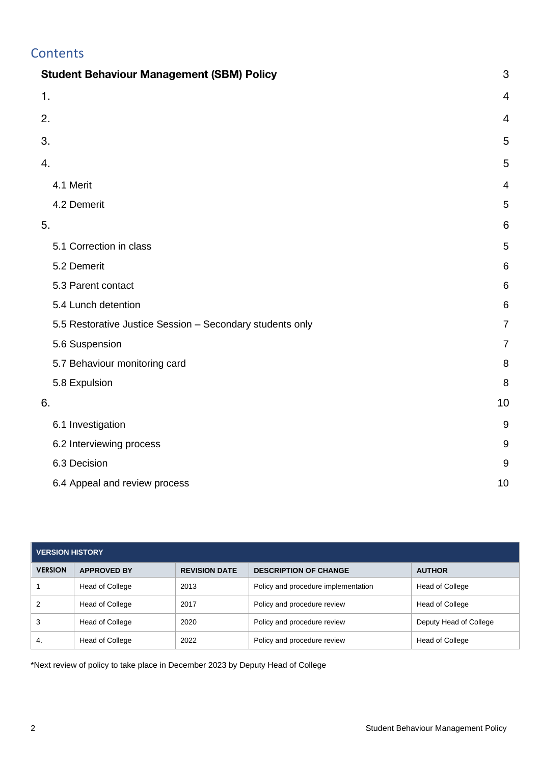# **Contents**

| <b>Student Behaviour Management (SBM) Policy</b>          |                 |
|-----------------------------------------------------------|-----------------|
| 1.                                                        | 4               |
| 2.                                                        | 4               |
| 3.                                                        | 5               |
| 4.                                                        | 5               |
| 4.1 Merit                                                 | 4               |
| 4.2 Demerit                                               | 5               |
| 5.                                                        | 6               |
| 5.1 Correction in class                                   | 5               |
| 5.2 Demerit                                               | 6               |
| 5.3 Parent contact                                        | 6               |
| 5.4 Lunch detention                                       | $6\phantom{1}6$ |
| 5.5 Restorative Justice Session - Secondary students only | $\overline{7}$  |
| 5.6 Suspension                                            | $\overline{7}$  |
| 5.7 Behaviour monitoring card                             | 8               |
| 5.8 Expulsion                                             | 8               |
| 6.                                                        | 10              |
| 6.1 Investigation                                         | $9\,$           |
| 6.2 Interviewing process                                  | $9\,$           |
| 6.3 Decision                                              | 9               |
| 6.4 Appeal and review process                             | 10              |

| <b>VERSION HISTORY</b> |                        |                      |                                     |                        |  |  |
|------------------------|------------------------|----------------------|-------------------------------------|------------------------|--|--|
| <b>VERSION</b>         | <b>APPROVED BY</b>     | <b>REVISION DATE</b> | <b>DESCRIPTION OF CHANGE</b>        | <b>AUTHOR</b>          |  |  |
|                        | Head of College        | 2013                 | Policy and procedure implementation | Head of College        |  |  |
| 2                      | Head of College        | 2017                 | Policy and procedure review         | Head of College        |  |  |
| 3                      | Head of College        | 2020                 | Policy and procedure review         | Deputy Head of College |  |  |
| -4.                    | <b>Head of College</b> | 2022                 | Policy and procedure review         | Head of College        |  |  |

\*Next review of policy to take place in December 2023 by Deputy Head of College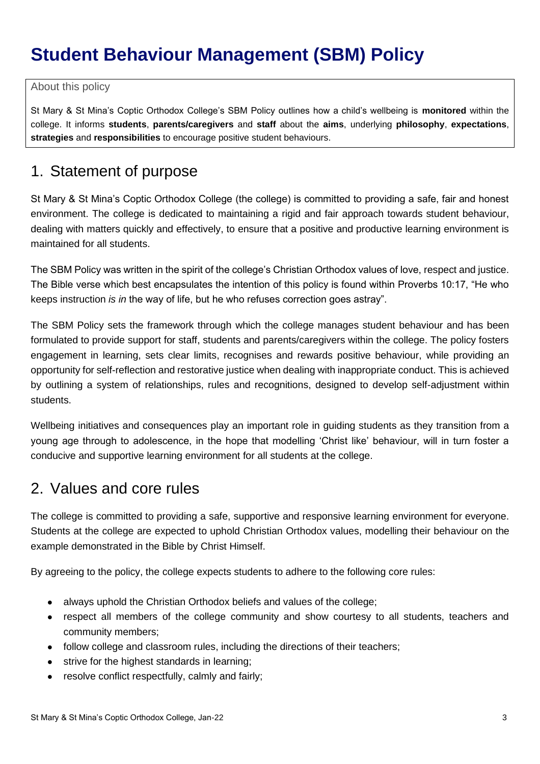# <span id="page-2-0"></span>**Student Behaviour Management (SBM) Policy**

About this policy

St Mary & St Mina's Coptic Orthodox College's SBM Policy outlines how a child's wellbeing is **monitored** within the college. It informs **students**, **parents/caregivers** and **staff** about the **aims**, underlying **philosophy**, **expectations**, **strategies** and **responsibilities** to encourage positive student behaviours.

# <span id="page-2-1"></span>1. Statement of purpose

St Mary & St Mina's Coptic Orthodox College (the college) is committed to providing a safe, fair and honest environment. The college is dedicated to maintaining a rigid and fair approach towards student behaviour, dealing with matters quickly and effectively, to ensure that a positive and productive learning environment is maintained for all students.

The SBM Policy was written in the spirit of the college's Christian Orthodox values of love, respect and justice. The Bible verse which best encapsulates the intention of this policy is found within Proverbs 10:17, "He who keeps instruction *is in* the way of life, but he who refuses correction goes astray".

The SBM Policy sets the framework through which the college manages student behaviour and has been formulated to provide support for staff, students and parents/caregivers within the college. The policy fosters engagement in learning, sets clear limits, recognises and rewards positive behaviour, while providing an opportunity for self-reflection and restorative justice when dealing with inappropriate conduct. This is achieved by outlining a system of relationships, rules and recognitions, designed to develop self-adjustment within students.

Wellbeing initiatives and consequences play an important role in guiding students as they transition from a young age through to adolescence, in the hope that modelling 'Christ like' behaviour, will in turn foster a conducive and supportive learning environment for all students at the college.

# <span id="page-2-2"></span>2. Values and core rules

The college is committed to providing a safe, supportive and responsive learning environment for everyone. Students at the college are expected to uphold Christian Orthodox values, modelling their behaviour on the example demonstrated in the Bible by Christ Himself.

By agreeing to the policy, the college expects students to adhere to the following core rules:

- always uphold the Christian Orthodox beliefs and values of the college;
- respect all members of the college community and show courtesy to all students, teachers and community members;
- follow college and classroom rules, including the directions of their teachers;
- strive for the highest standards in learning;
- resolve conflict respectfully, calmly and fairly;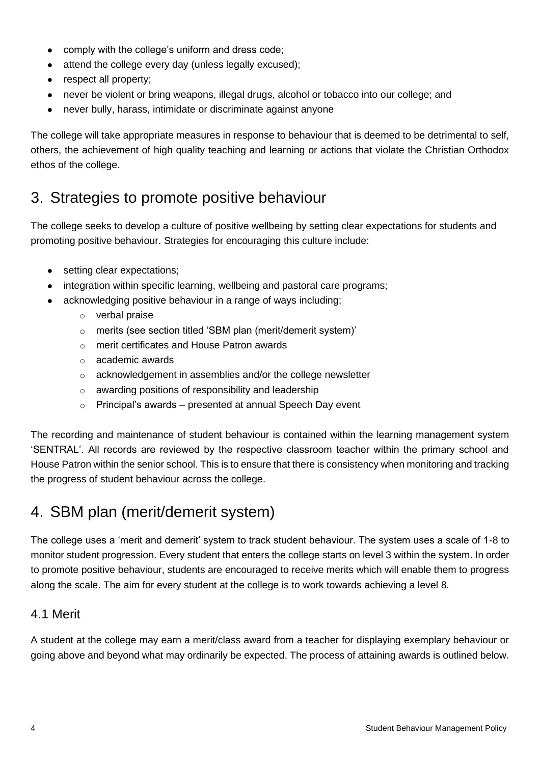- comply with the college's uniform and dress code;
- attend the college every day (unless legally excused);
- respect all property;
- never be violent or bring weapons, illegal drugs, alcohol or tobacco into our college; and
- never bully, harass, intimidate or discriminate against anyone

The college will take appropriate measures in response to behaviour that is deemed to be detrimental to self, others, the achievement of high quality teaching and learning or actions that violate the Christian Orthodox ethos of the college.

# <span id="page-3-0"></span>3. Strategies to promote positive behaviour

The college seeks to develop a culture of positive wellbeing by setting clear expectations for students and promoting positive behaviour. Strategies for encouraging this culture include:

- setting clear expectations;
- integration within specific learning, wellbeing and pastoral care programs;
- acknowledging positive behaviour in a range of ways including;
	- o verbal praise
	- o merits (see section titled 'SBM plan (merit/demerit system)'
	- o merit certificates and House Patron awards
	- o academic awards
	- o acknowledgement in assemblies and/or the college newsletter
	- $\circ$  awarding positions of responsibility and leadership
	- $\circ$  Principal's awards presented at annual Speech Day event

The recording and maintenance of student behaviour is contained within the learning management system 'SENTRAL'. All records are reviewed by the respective classroom teacher within the primary school and House Patron within the senior school. This is to ensure that there is consistency when monitoring and tracking the progress of student behaviour across the college.

# <span id="page-3-1"></span>4. SBM plan (merit/demerit system)

The college uses a 'merit and demerit' system to track student behaviour. The system uses a scale of 1-8 to monitor student progression. Every student that enters the college starts on level 3 within the system. In order to promote positive behaviour, students are encouraged to receive merits which will enable them to progress along the scale. The aim for every student at the college is to work towards achieving a level 8.

### <span id="page-3-2"></span>4.1 Merit

A student at the college may earn a merit/class award from a teacher for displaying exemplary behaviour or going above and beyond what may ordinarily be expected. The process of attaining awards is outlined below.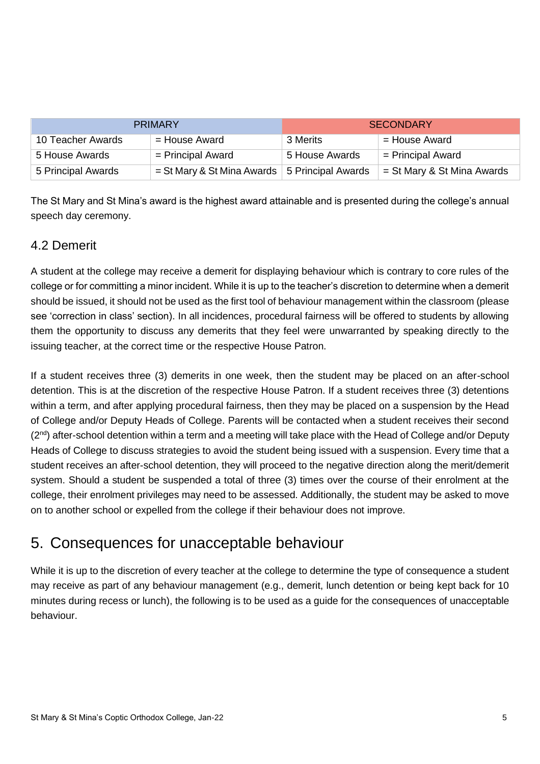| <b>PRIMARY</b>     |                                                         | <b>SECONDARY</b> |                              |
|--------------------|---------------------------------------------------------|------------------|------------------------------|
| 10 Teacher Awards  | = House Award                                           | 3 Merits         | = House Award                |
| 5 House Awards     | $=$ Principal Award                                     | 5 House Awards   | $=$ Principal Award          |
| 5 Principal Awards | $=$ St Mary & St Mina Awards $\vert$ 5 Principal Awards |                  | $=$ St Mary & St Mina Awards |

The St Mary and St Mina's award is the highest award attainable and is presented during the college's annual speech day ceremony.

### <span id="page-4-0"></span>4.2 Demerit

A student at the college may receive a demerit for displaying behaviour which is contrary to core rules of the college or for committing a minor incident. While it is up to the teacher's discretion to determine when a demerit should be issued, it should not be used as the first tool of behaviour management within the classroom (please see 'correction in class' section). In all incidences, procedural fairness will be offered to students by allowing them the opportunity to discuss any demerits that they feel were unwarranted by speaking directly to the issuing teacher, at the correct time or the respective House Patron.

If a student receives three (3) demerits in one week, then the student may be placed on an after-school detention. This is at the discretion of the respective House Patron. If a student receives three (3) detentions within a term, and after applying procedural fairness, then they may be placed on a suspension by the Head of College and/or Deputy Heads of College. Parents will be contacted when a student receives their second  $(2<sup>nd</sup>)$  after-school detention within a term and a meeting will take place with the Head of College and/or Deputy Heads of College to discuss strategies to avoid the student being issued with a suspension. Every time that a student receives an after-school detention, they will proceed to the negative direction along the merit/demerit system. Should a student be suspended a total of three (3) times over the course of their enrolment at the college, their enrolment privileges may need to be assessed. Additionally, the student may be asked to move on to another school or expelled from the college if their behaviour does not improve.

# <span id="page-4-1"></span>5. Consequences for unacceptable behaviour

While it is up to the discretion of every teacher at the college to determine the type of consequence a student may receive as part of any behaviour management (e.g., demerit, lunch detention or being kept back for 10 minutes during recess or lunch), the following is to be used as a guide for the consequences of unacceptable behaviour.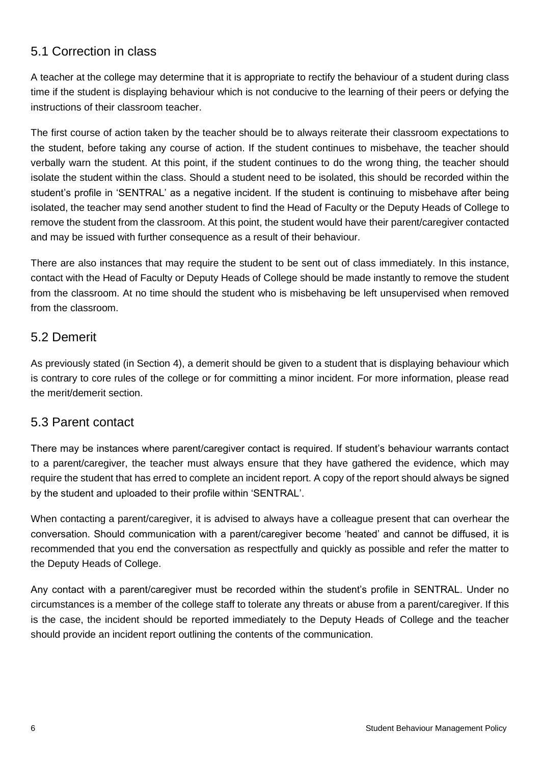# <span id="page-5-0"></span>5.1 Correction in class

A teacher at the college may determine that it is appropriate to rectify the behaviour of a student during class time if the student is displaying behaviour which is not conducive to the learning of their peers or defying the instructions of their classroom teacher.

The first course of action taken by the teacher should be to always reiterate their classroom expectations to the student, before taking any course of action. If the student continues to misbehave, the teacher should verbally warn the student. At this point, if the student continues to do the wrong thing, the teacher should isolate the student within the class. Should a student need to be isolated, this should be recorded within the student's profile in 'SENTRAL' as a negative incident. If the student is continuing to misbehave after being isolated, the teacher may send another student to find the Head of Faculty or the Deputy Heads of College to remove the student from the classroom. At this point, the student would have their parent/caregiver contacted and may be issued with further consequence as a result of their behaviour.

There are also instances that may require the student to be sent out of class immediately. In this instance, contact with the Head of Faculty or Deputy Heads of College should be made instantly to remove the student from the classroom. At no time should the student who is misbehaving be left unsupervised when removed from the classroom.

### <span id="page-5-1"></span>5.2 Demerit

As previously stated (in Section 4), a demerit should be given to a student that is displaying behaviour which is contrary to core rules of the college or for committing a minor incident. For more information, please read the merit/demerit section.

#### <span id="page-5-2"></span>5.3 Parent contact

There may be instances where parent/caregiver contact is required. If student's behaviour warrants contact to a parent/caregiver, the teacher must always ensure that they have gathered the evidence, which may require the student that has erred to complete an incident report. A copy of the report should always be signed by the student and uploaded to their profile within 'SENTRAL'.

When contacting a parent/caregiver, it is advised to always have a colleague present that can overhear the conversation. Should communication with a parent/caregiver become 'heated' and cannot be diffused, it is recommended that you end the conversation as respectfully and quickly as possible and refer the matter to the Deputy Heads of College.

Any contact with a parent/caregiver must be recorded within the student's profile in SENTRAL. Under no circumstances is a member of the college staff to tolerate any threats or abuse from a parent/caregiver. If this is the case, the incident should be reported immediately to the Deputy Heads of College and the teacher should provide an incident report outlining the contents of the communication.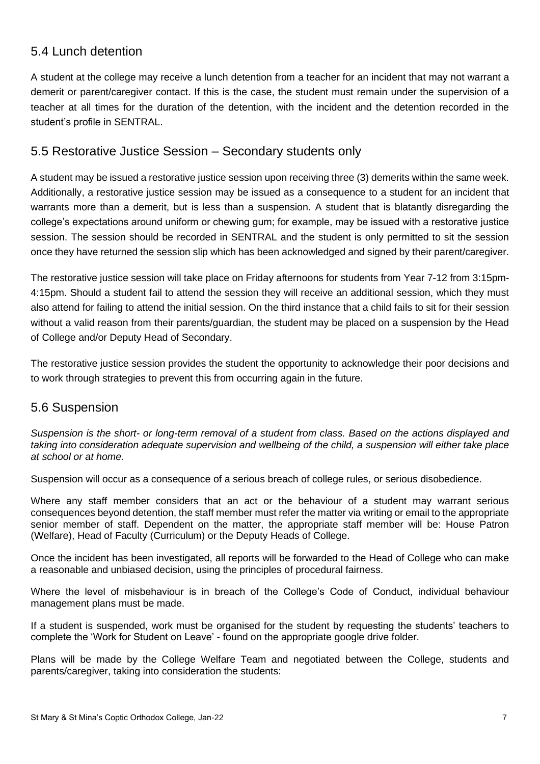# <span id="page-6-0"></span>5.4 Lunch detention

A student at the college may receive a lunch detention from a teacher for an incident that may not warrant a demerit or parent/caregiver contact. If this is the case, the student must remain under the supervision of a teacher at all times for the duration of the detention, with the incident and the detention recorded in the student's profile in SENTRAL.

#### <span id="page-6-1"></span>5.5 Restorative Justice Session – Secondary students only

A student may be issued a restorative justice session upon receiving three (3) demerits within the same week. Additionally, a restorative justice session may be issued as a consequence to a student for an incident that warrants more than a demerit, but is less than a suspension. A student that is blatantly disregarding the college's expectations around uniform or chewing gum; for example, may be issued with a restorative justice session. The session should be recorded in SENTRAL and the student is only permitted to sit the session once they have returned the session slip which has been acknowledged and signed by their parent/caregiver.

The restorative justice session will take place on Friday afternoons for students from Year 7-12 from 3:15pm-4:15pm. Should a student fail to attend the session they will receive an additional session, which they must also attend for failing to attend the initial session. On the third instance that a child fails to sit for their session without a valid reason from their parents/guardian, the student may be placed on a suspension by the Head of College and/or Deputy Head of Secondary.

The restorative justice session provides the student the opportunity to acknowledge their poor decisions and to work through strategies to prevent this from occurring again in the future.

#### <span id="page-6-2"></span>5.6 Suspension

*Suspension is the short- or long-term removal of a student from class. Based on the actions displayed and taking into consideration adequate supervision and wellbeing of the child, a suspension will either take place at school or at home.*

Suspension will occur as a consequence of a serious breach of college rules, or serious disobedience.

Where any staff member considers that an act or the behaviour of a student may warrant serious consequences beyond detention, the staff member must refer the matter via writing or email to the appropriate senior member of staff. Dependent on the matter, the appropriate staff member will be: House Patron (Welfare), Head of Faculty (Curriculum) or the Deputy Heads of College.

Once the incident has been investigated, all reports will be forwarded to the Head of College who can make a reasonable and unbiased decision, using the principles of procedural fairness.

Where the level of misbehaviour is in breach of the College's Code of Conduct, individual behaviour management plans must be made.

If a student is suspended, work must be organised for the student by requesting the students' teachers to complete the 'Work for Student on Leave' - found on the appropriate google drive folder.

Plans will be made by the College Welfare Team and negotiated between the College, students and parents/caregiver, taking into consideration the students: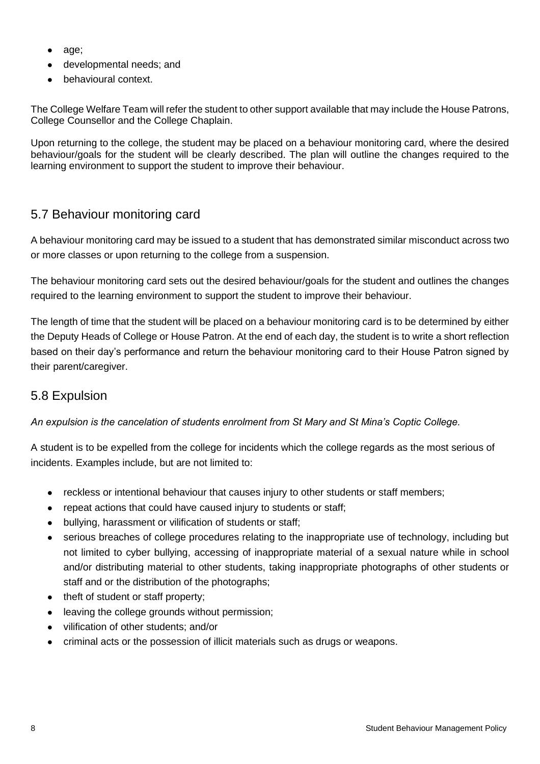- age;
- developmental needs; and
- behavioural context.

The College Welfare Team will refer the student to other support available that may include the House Patrons, College Counsellor and the College Chaplain.

Upon returning to the college, the student may be placed on a behaviour monitoring card, where the desired behaviour/goals for the student will be clearly described. The plan will outline the changes required to the learning environment to support the student to improve their behaviour.

## <span id="page-7-0"></span>5.7 Behaviour monitoring card

A behaviour monitoring card may be issued to a student that has demonstrated similar misconduct across two or more classes or upon returning to the college from a suspension.

The behaviour monitoring card sets out the desired behaviour/goals for the student and outlines the changes required to the learning environment to support the student to improve their behaviour.

The length of time that the student will be placed on a behaviour monitoring card is to be determined by either the Deputy Heads of College or House Patron. At the end of each day, the student is to write a short reflection based on their day's performance and return the behaviour monitoring card to their House Patron signed by their parent/caregiver.

### <span id="page-7-1"></span>5.8 Expulsion

*An expulsion is the cancelation of students enrolment from St Mary and St Mina's Coptic College.*

A student is to be expelled from the college for incidents which the college regards as the most serious of incidents. Examples include, but are not limited to:

- reckless or intentional behaviour that causes injury to other students or staff members;
- repeat actions that could have caused injury to students or staff;
- bullying, harassment or vilification of students or staff;
- serious breaches of college procedures relating to the inappropriate use of technology, including but not limited to cyber bullying, accessing of inappropriate material of a sexual nature while in school and/or distributing material to other students, taking inappropriate photographs of other students or staff and or the distribution of the photographs;
- theft of student or staff property;
- leaving the college grounds without permission;
- vilification of other students; and/or
- criminal acts or the possession of illicit materials such as drugs or weapons.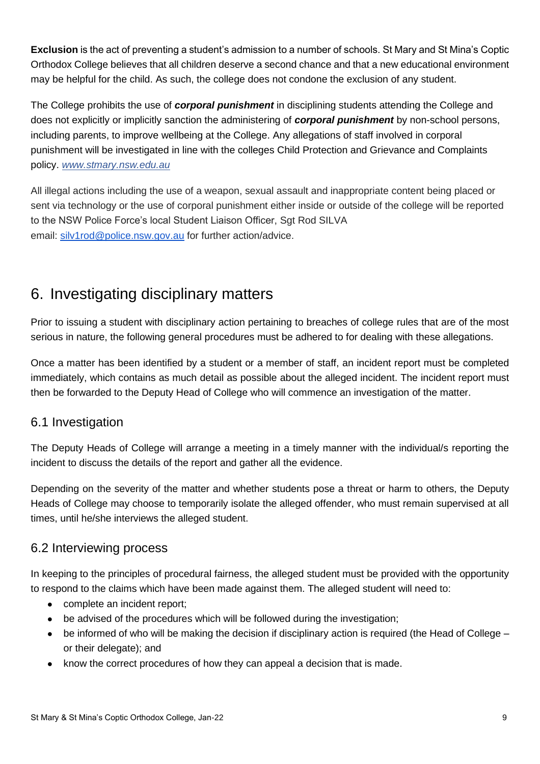**Exclusion** is the act of preventing a student's admission to a number of schools. St Mary and St Mina's Coptic Orthodox College believes that all children deserve a second chance and that a new educational environment may be helpful for the child. As such, the college does not condone the exclusion of any student.

The College prohibits the use of *corporal punishment* in disciplining students attending the College and does not explicitly or implicitly sanction the administering of *corporal punishment* by non-school persons, including parents, to improve wellbeing at the College. Any allegations of staff involved in corporal punishment will be investigated in line with the colleges Child Protection and Grievance and Complaints policy. *[www.stmary.nsw.edu.au](http://www.stmary.nsw.edu.au/)*

All illegal actions including the use of a weapon, sexual assault and inappropriate content being placed or sent via technology or the use of corporal punishment either inside or outside of the college will be reported to the NSW Police Force's local Student Liaison Officer, Sgt Rod SILVA email: [silv1rod@police.nsw.gov.au](mailto:silv1rod@police.nsw.gov.au) for further action/advice.

# <span id="page-8-0"></span>6. Investigating disciplinary matters

Prior to issuing a student with disciplinary action pertaining to breaches of college rules that are of the most serious in nature, the following general procedures must be adhered to for dealing with these allegations.

Once a matter has been identified by a student or a member of staff, an incident report must be completed immediately, which contains as much detail as possible about the alleged incident. The incident report must then be forwarded to the Deputy Head of College who will commence an investigation of the matter.

# <span id="page-8-1"></span>6.1 Investigation

The Deputy Heads of College will arrange a meeting in a timely manner with the individual/s reporting the incident to discuss the details of the report and gather all the evidence.

Depending on the severity of the matter and whether students pose a threat or harm to others, the Deputy Heads of College may choose to temporarily isolate the alleged offender, who must remain supervised at all times, until he/she interviews the alleged student.

### <span id="page-8-2"></span>6.2 Interviewing process

In keeping to the principles of procedural fairness, the alleged student must be provided with the opportunity to respond to the claims which have been made against them. The alleged student will need to:

- complete an incident report;
- be advised of the procedures which will be followed during the investigation;
- $\bullet$  be informed of who will be making the decision if disciplinary action is required (the Head of College or their delegate); and
- know the correct procedures of how they can appeal a decision that is made.